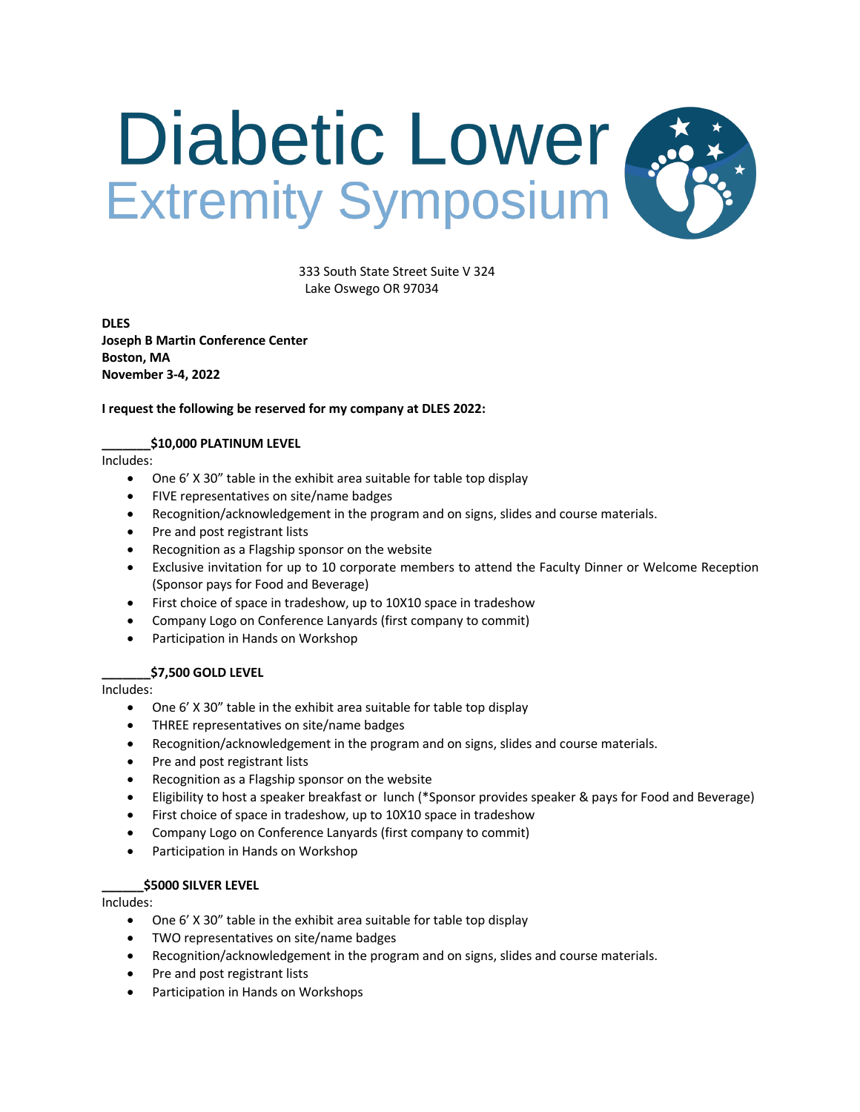

 333 South State Street Suite V 324 Lake Oswego OR 97034

**DLES Joseph B Martin Conference Center Boston, MA November 3-4, 2022**

## **I request the following be reserved for my company at DLES 2022:**

## **\_\_\_\_\_\_\_\$10,000 PLATINUM LEVEL**

Includes:

- One 6' X 30" table in the exhibit area suitable for table top display
- FIVE representatives on site/name badges
- Recognition/acknowledgement in the program and on signs, slides and course materials.
- Pre and post registrant lists
- Recognition as a Flagship sponsor on the website
- Exclusive invitation for up to 10 corporate members to attend the Faculty Dinner or Welcome Reception (Sponsor pays for Food and Beverage)
- First choice of space in tradeshow, up to 10X10 space in tradeshow
- Company Logo on Conference Lanyards (first company to commit)
- Participation in Hands on Workshop

# **\_\_\_\_\_\_\_\$7,500 GOLD LEVEL**

Includes:

- One 6' X 30" table in the exhibit area suitable for table top display
- THREE representatives on site/name badges
- Recognition/acknowledgement in the program and on signs, slides and course materials.
- Pre and post registrant lists
- Recognition as a Flagship sponsor on the website
- Eligibility to host a speaker breakfast or lunch (\*Sponsor provides speaker & pays for Food and Beverage)
- First choice of space in tradeshow, up to 10X10 space in tradeshow
- Company Logo on Conference Lanyards (first company to commit)
- Participation in Hands on Workshop

#### **\_\_\_\_\_\_\$5000 SILVER LEVEL**

Includes:

- One 6' X 30" table in the exhibit area suitable for table top display
- TWO representatives on site/name badges
- Recognition/acknowledgement in the program and on signs, slides and course materials.
- Pre and post registrant lists
- Participation in Hands on Workshops